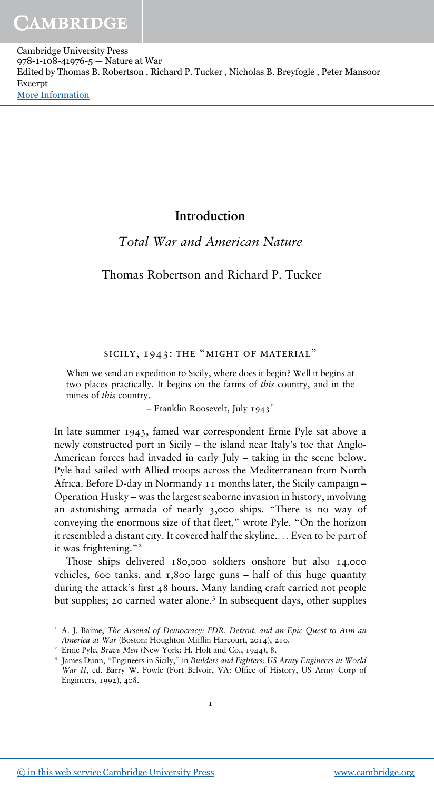## **Introduction**

## *Total War and American Nature*

### Thomas Robertson and Richard P. Tucker

#### SICILY, 1943: THE "MIGHT OF MATERIAL"

When we send an expedition to Sicily, where does it begin? Well it begins at two places practically. It begins on the farms of *this* country, and in the mines of *this* country.

– Franklin Roosevelt, July 1943<sup>1</sup>

In late summer 1943, famed war correspondent Ernie Pyle sat above a newly constructed port in Sicily – the island near Italy's toe that Anglo-American forces had invaded in early July – taking in the scene below. Pyle had sailed with Allied troops across the Mediterranean from North Africa. Before D-day in Normandy 11 months later, the Sicily campaign – Operation Husky – was the largest seaborne invasion in history, involving an astonishing armada of nearly 3,000 ships. "There is no way of conveying the enormous size of that fleet," wrote Pyle. "On the horizon it resembled a distant city. It covered half the skyline.... Even to be part of it was frightening."<sup>2</sup>

Those ships delivered 180,000 soldiers onshore but also 14,000 vehicles, 600 tanks, and  $\bar{x}$ , 800 large guns – half of this huge quantity during the attack's first 48 hours. Many landing craft carried not people but supplies; 20 carried water alone.<sup>3</sup> In subsequent days, other supplies

<sup>&</sup>lt;sup>1</sup> A. J. Baime, The Arsenal of Democracy: FDR, Detroit, and an Epic Quest to Arm an *America at War* (Boston: Houghton Mifflin Harcourt, 2014), 210.

<sup>2</sup> Ernie Pyle, *Brave Men* (New York: H. Holt and Co., 1944), 8.

<sup>3</sup> James Dunn, "Engineers in Sicily," in *Builders and Fighters: US Army Engineers in World War II*, ed. Barry W. Fowle (Fort Belvoir, VA: Office of History, US Army Corp of Engineers, 1992), 408.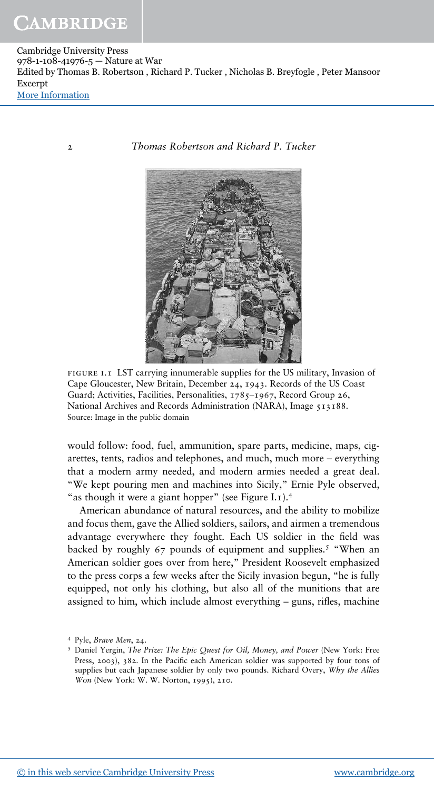2 *Thomas Robertson and Richard P. Tucker*



 . LST carrying innumerable supplies for the US military, Invasion of Cape Gloucester, New Britain, December 24, 1943. Records of the US Coast Guard; Activities, Facilities, Personalities, 1785–1967, Record Group 26, National Archives and Records Administration (NARA), Image 513188. Source: Image in the public domain

would follow: food, fuel, ammunition, spare parts, medicine, maps, cigarettes, tents, radios and telephones, and much, much more – everything that a modern army needed, and modern armies needed a great deal. "We kept pouring men and machines into Sicily," Ernie Pyle observed, "as though it were a giant hopper" (see Figure I.1).<sup>4</sup>

American abundance of natural resources, and the ability to mobilize and focus them, gave the Allied soldiers, sailors, and airmen a tremendous advantage everywhere they fought. Each US soldier in the field was backed by roughly 67 pounds of equipment and supplies.<sup>5</sup> "When an American soldier goes over from here," President Roosevelt emphasized to the press corps a few weeks after the Sicily invasion begun, "he is fully equipped, not only his clothing, but also all of the munitions that are assigned to him, which include almost everything – guns, rifles, machine

<sup>4</sup> Pyle, *Brave Men*, 24.

<sup>5</sup> Daniel Yergin, *The Prize: The Epic Quest for Oil, Money, and Power* (New York: Free Press, 2003), 382. In the Pacific each American soldier was supported by four tons of supplies but each Japanese soldier by only two pounds. Richard Overy, *Why the Allies Won* (New York: W. W. Norton, 1995), 210.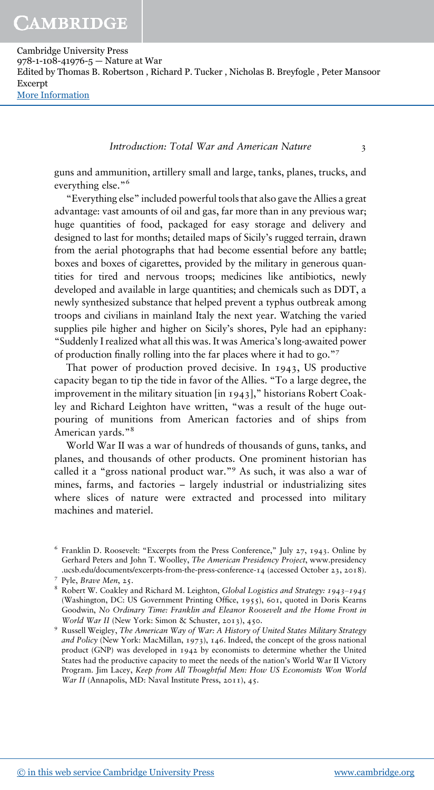#### *Introduction: Total War and American Nature* 3

guns and ammunition, artillery small and large, tanks, planes, trucks, and everything else." 6

"Everything else" included powerful tools that also gave the Allies a great advantage: vast amounts of oil and gas, far more than in any previous war; huge quantities of food, packaged for easy storage and delivery and designed to last for months; detailed maps of Sicily's rugged terrain, drawn from the aerial photographs that had become essential before any battle; boxes and boxes of cigarettes, provided by the military in generous quantities for tired and nervous troops; medicines like antibiotics, newly developed and available in large quantities; and chemicals such as DDT, a newly synthesized substance that helped prevent a typhus outbreak among troops and civilians in mainland Italy the next year. Watching the varied supplies pile higher and higher on Sicily's shores, Pyle had an epiphany: "Suddenly I realized what all this was. It was America's long-awaited power of production finally rolling into the far places where it had to go." 7

That power of production proved decisive. In 1943, US productive capacity began to tip the tide in favor of the Allies. "To a large degree, the improvement in the military situation [in 1943]," historians Robert Coakley and Richard Leighton have written, "was a result of the huge outpouring of munitions from American factories and of ships from American yards."<sup>8</sup>

World War II was a war of hundreds of thousands of guns, tanks, and planes, and thousands of other products. One prominent historian has called it a "gross national product war." <sup>9</sup> As such, it was also a war of mines, farms, and factories – largely industrial or industrializing sites where slices of nature were extracted and processed into military machines and materiel.

<sup>6</sup> Franklin D. Roosevelt: "Excerpts from the Press Conference," July 27, 1943. Online by Gerhard Peters and John T. Woolley, *The American Presidency Project*, www.presidency .ucsb.edu/documents/excerpts-from-the-press-conference-14 (accessed October 23, 2018).

<sup>7</sup> Pyle, *Brave Men*, 25.

<sup>8</sup> Robert W. Coakley and Richard M. Leighton, *Global Logistics and Strategy: 1943‒1945* (Washington, DC: US Government Printing Office, 1955), 601, quoted in Doris Kearns Goodwin, No Ordinary Time: Franklin and Eleanor Roosevelt and the Home Front in *World War II* (New York: Simon & Schuster, 2013), 450.

<sup>&</sup>lt;sup>9</sup> Russell Weigley, The American Way of War: A History of United States Military Strategy *and Policy* (New York: MacMillan, 1973), 146. Indeed, the concept of the gross national product (GNP) was developed in 1942 by economists to determine whether the United States had the productive capacity to meet the needs of the nation's World War II Victory Program. Jim Lacey, *Keep from All Thoughtful Men: How US Economists Won World War II* (Annapolis, MD: Naval Institute Press, 2011), 45.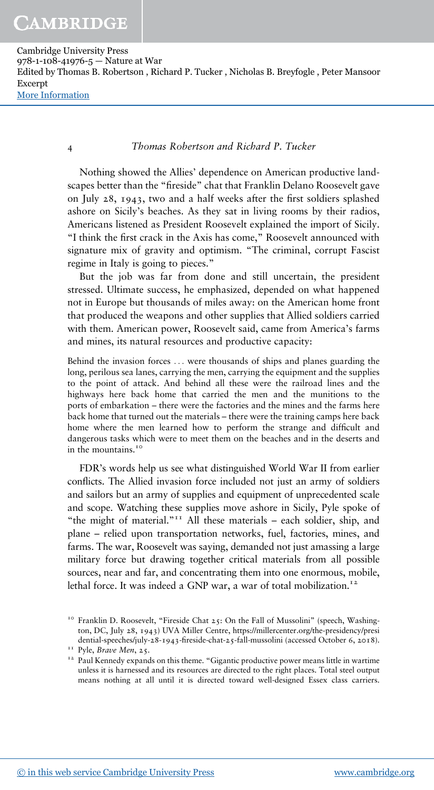4 *Thomas Robertson and Richard P. Tucker*

Nothing showed the Allies' dependence on American productive landscapes better than the "fireside" chat that Franklin Delano Roosevelt gave on July 28, 1943, two and a half weeks after the first soldiers splashed ashore on Sicily's beaches. As they sat in living rooms by their radios, Americans listened as President Roosevelt explained the import of Sicily. "I think the first crack in the Axis has come," Roosevelt announced with signature mix of gravity and optimism. "The criminal, corrupt Fascist regime in Italy is going to pieces."

But the job was far from done and still uncertain, the president stressed. Ultimate success, he emphasized, depended on what happened not in Europe but thousands of miles away: on the American home front that produced the weapons and other supplies that Allied soldiers carried with them. American power, Roosevelt said, came from America's farms and mines, its natural resources and productive capacity:

Behind the invasion forces ... were thousands of ships and planes guarding the long, perilous sea lanes, carrying the men, carrying the equipment and the supplies to the point of attack. And behind all these were the railroad lines and the highways here back home that carried the men and the munitions to the ports of embarkation – there were the factories and the mines and the farms here back home that turned out the materials – there were the training camps here back home where the men learned how to perform the strange and difficult and dangerous tasks which were to meet them on the beaches and in the deserts and in the mountains.<sup>10</sup>

FDR's words help us see what distinguished World War II from earlier conflicts. The Allied invasion force included not just an army of soldiers and sailors but an army of supplies and equipment of unprecedented scale and scope. Watching these supplies move ashore in Sicily, Pyle spoke of "the might of material."<sup>11</sup> All these materials - each soldier, ship, and plane – relied upon transportation networks, fuel, factories, mines, and farms. The war, Roosevelt was saying, demanded not just amassing a large military force but drawing together critical materials from all possible sources, near and far, and concentrating them into one enormous, mobile, lethal force. It was indeed a GNP war, a war of total mobilization.<sup>12</sup>

<sup>&</sup>lt;sup>10</sup> Franklin D. Roosevelt, "Fireside Chat 25: On the Fall of Mussolini" (speech, Washington, DC, July 28, 1943) UVA Miller Centre, https://millercenter.org/the-presidency/presi dential-speeches/july-28-1943-fireside-chat-25-fall-mussolini (accessed October 6, 2018).

<sup>11</sup> Pyle, *Brave Men*, 25.

<sup>&</sup>lt;sup>12</sup> Paul Kennedy expands on this theme. "Gigantic productive power means little in wartime unless it is harnessed and its resources are directed to the right places. Total steel output means nothing at all until it is directed toward well-designed Essex class carriers.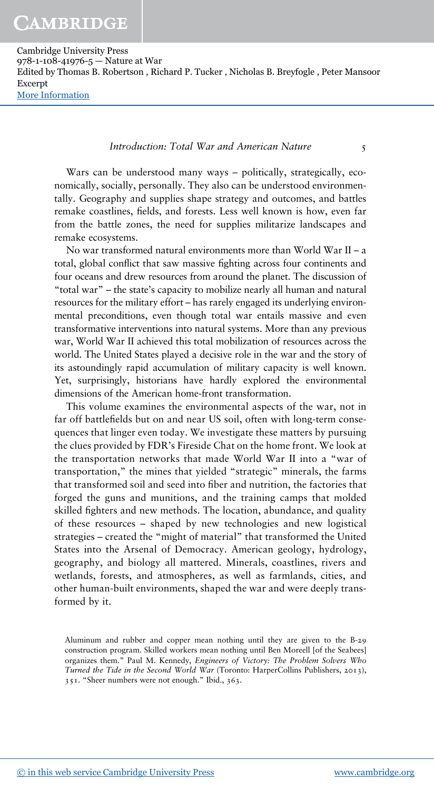#### *Introduction: Total War and American Nature* 5

Wars can be understood many ways – politically, strategically, economically, socially, personally. They also can be understood environmentally. Geography and supplies shape strategy and outcomes, and battles remake coastlines, fields, and forests. Less well known is how, even far from the battle zones, the need for supplies militarize landscapes and remake ecosystems.

No war transformed natural environments more than World War II – a total, global conflict that saw massive fighting across four continents and four oceans and drew resources from around the planet. The discussion of "total war" – the state's capacity to mobilize nearly all human and natural resources for the military effort – has rarely engaged its underlying environmental preconditions, even though total war entails massive and even transformative interventions into natural systems. More than any previous war, World War II achieved this total mobilization of resources across the world. The United States played a decisive role in the war and the story of its astoundingly rapid accumulation of military capacity is well known. Yet, surprisingly, historians have hardly explored the environmental dimensions of the American home-front transformation.

This volume examines the environmental aspects of the war, not in far off battlefields but on and near US soil, often with long-term consequences that linger even today. We investigate these matters by pursuing the clues provided by FDR's Fireside Chat on the home front. We look at the transportation networks that made World War II into a "war of transportation," the mines that yielded "strategic" minerals, the farms that transformed soil and seed into fiber and nutrition, the factories that forged the guns and munitions, and the training camps that molded skilled fighters and new methods. The location, abundance, and quality of these resources – shaped by new technologies and new logistical strategies – created the "might of material" that transformed the United States into the Arsenal of Democracy. American geology, hydrology, geography, and biology all mattered. Minerals, coastlines, rivers and wetlands, forests, and atmospheres, as well as farmlands, cities, and other human-built environments, shaped the war and were deeply transformed by it.

Aluminum and rubber and copper mean nothing until they are given to the B-29 construction program. Skilled workers mean nothing until Ben Moreell [of the Seabees] organizes them." Paul M. Kennedy, *Engineers of Victory: The Problem Solvers Who Turned the Tide in the Second World War* (Toronto: HarperCollins Publishers, 2013), 351. "Sheer numbers were not enough." Ibid., 363.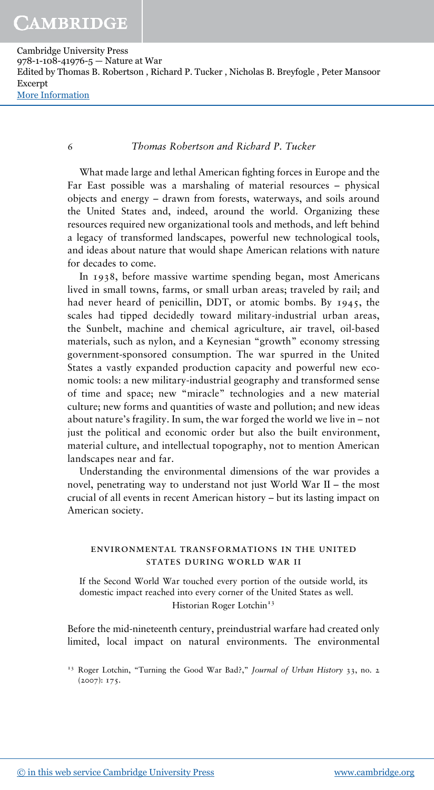6 *Thomas Robertson and Richard P. Tucker*

What made large and lethal American fighting forces in Europe and the Far East possible was a marshaling of material resources – physical objects and energy – drawn from forests, waterways, and soils around the United States and, indeed, around the world. Organizing these resources required new organizational tools and methods, and left behind a legacy of transformed landscapes, powerful new technological tools, and ideas about nature that would shape American relations with nature for decades to come.

In 1938, before massive wartime spending began, most Americans lived in small towns, farms, or small urban areas; traveled by rail; and had never heard of penicillin, DDT, or atomic bombs. By 1945, the scales had tipped decidedly toward military-industrial urban areas, the Sunbelt, machine and chemical agriculture, air travel, oil-based materials, such as nylon, and a Keynesian "growth" economy stressing government-sponsored consumption. The war spurred in the United States a vastly expanded production capacity and powerful new economic tools: a new military-industrial geography and transformed sense of time and space; new "miracle" technologies and a new material culture; new forms and quantities of waste and pollution; and new ideas about nature's fragility. In sum, the war forged the world we live in – not just the political and economic order but also the built environment, material culture, and intellectual topography, not to mention American landscapes near and far.

Understanding the environmental dimensions of the war provides a novel, penetrating way to understand not just World War II – the most crucial of all events in recent American history – but its lasting impact on American society.

#### ENVIRONMENTAL TRANSFORMATIONS IN THE UNITED STATES DURING WORLD WAR II

If the Second World War touched every portion of the outside world, its domestic impact reached into every corner of the United States as well. Historian Roger Lotchin<sup>13</sup>

Before the mid-nineteenth century, preindustrial warfare had created only limited, local impact on natural environments. The environmental

<sup>13</sup> Roger Lotchin, "Turning the Good War Bad?," *Journal of Urban History* 33, no. 2 (2007): 175.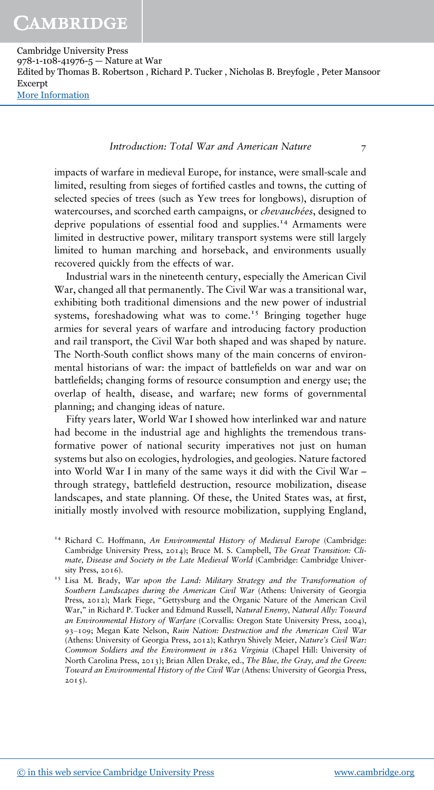# CAMBRIDGE

Cambridge University Press 978-1-108-41976-5 — Nature at War Edited by Thomas B. Robertson , Richard P. Tucker , Nicholas B. Breyfogle , Peter Mansoor Excerpt [More Information](www.cambridge.org/9781108419765)

#### *Introduction: Total War and American Nature* 7

impacts of warfare in medieval Europe, for instance, were small-scale and limited, resulting from sieges of fortified castles and towns, the cutting of selected species of trees (such as Yew trees for longbows), disruption of watercourses, and scorched earth campaigns, or *chevauchées*, designed to deprive populations of essential food and supplies.<sup>14</sup> Armaments were limited in destructive power, military transport systems were still largely limited to human marching and horseback, and environments usually recovered quickly from the effects of war.

Industrial wars in the nineteenth century, especially the American Civil War, changed all that permanently. The Civil War was a transitional war, exhibiting both traditional dimensions and the new power of industrial systems, foreshadowing what was to come.<sup>15</sup> Bringing together huge armies for several years of warfare and introducing factory production and rail transport, the Civil War both shaped and was shaped by nature. The North-South conflict shows many of the main concerns of environmental historians of war: the impact of battlefields on war and war on battlefields; changing forms of resource consumption and energy use; the overlap of health, disease, and warfare; new forms of governmental planning; and changing ideas of nature.

Fifty years later, World War I showed how interlinked war and nature had become in the industrial age and highlights the tremendous transformative power of national security imperatives not just on human systems but also on ecologies, hydrologies, and geologies. Nature factored into World War I in many of the same ways it did with the Civil War – through strategy, battlefield destruction, resource mobilization, disease landscapes, and state planning. Of these, the United States was, at first, initially mostly involved with resource mobilization, supplying England,

<sup>14</sup> Richard C. Hoffmann, *An Environmental History of Medieval Europe* (Cambridge: Cambridge University Press, 2014); Bruce M. S. Campbell, *The Great Transition: Climate, Disease and Society in the Late Medieval World* (Cambridge: Cambridge University Press, 2016).

<sup>15</sup> Lisa M. Brady, *War upon the Land: Military Strategy and the Transformation of Southern Landscapes during the American Civil War* (Athens: University of Georgia Press, 2012); Mark Fiege, "Gettysburg and the Organic Nature of the American Civil War," in Richard P. Tucker and Edmund Russell, *Natural Enemy, Natural Ally: Toward an Environmental History of Warfare* (Corvallis: Oregon State University Press, 2004), 93‒109; Megan Kate Nelson, *Ruin Nation: Destruction and the American Civil War* (Athens: University of Georgia Press, 2012); Kathryn Shively Meier, *Nature's Civil War: Common Soldiers and the Environment in 1862 Virginia* (Chapel Hill: University of North Carolina Press, 2013); Brian Allen Drake, ed., *The Blue, the Gray, and the Green: Toward an Environmental History of the Civil War* (Athens: University of Georgia Press,  $2015$ .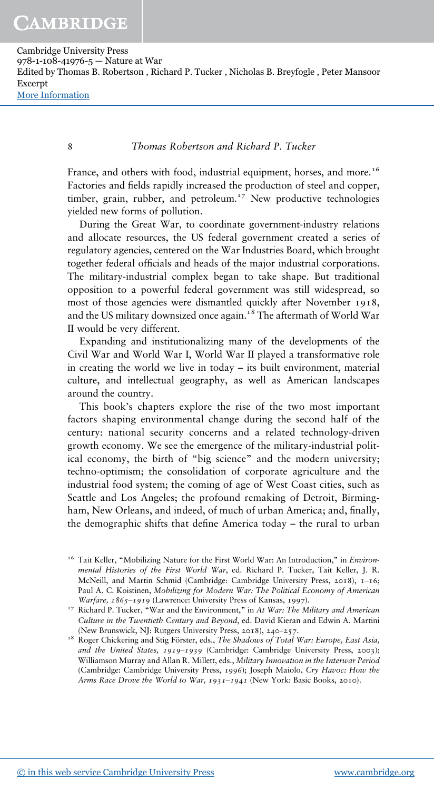8 *Thomas Robertson and Richard P. Tucker*

France, and others with food, industrial equipment, horses, and more.<sup>16</sup> Factories and fields rapidly increased the production of steel and copper, timber, grain, rubber, and petroleum.<sup>17</sup> New productive technologies yielded new forms of pollution.

During the Great War, to coordinate government-industry relations and allocate resources, the US federal government created a series of regulatory agencies, centered on the War Industries Board, which brought together federal officials and heads of the major industrial corporations. The military-industrial complex began to take shape. But traditional opposition to a powerful federal government was still widespread, so most of those agencies were dismantled quickly after November 1918, and the US military downsized once again.<sup>18</sup> The aftermath of World War II would be very different.

Expanding and institutionalizing many of the developments of the Civil War and World War I, World War II played a transformative role in creating the world we live in today – its built environment, material culture, and intellectual geography, as well as American landscapes around the country.

This book's chapters explore the rise of the two most important factors shaping environmental change during the second half of the century: national security concerns and a related technology-driven growth economy. We see the emergence of the military-industrial political economy, the birth of "big science" and the modern university; techno-optimism; the consolidation of corporate agriculture and the industrial food system; the coming of age of West Coast cities, such as Seattle and Los Angeles; the profound remaking of Detroit, Birmingham, New Orleans, and indeed, of much of urban America; and, finally, the demographic shifts that define America today – the rural to urban

<sup>&</sup>lt;sup>16</sup> Tait Keller, "Mobilizing Nature for the First World War: An Introduction," in *Environmental Histories of the First World War*, ed. Richard P. Tucker, Tait Keller, J. R. McNeill, and Martin Schmid (Cambridge: Cambridge University Press, 2018), 1-16; Paul A. C. Koistinen, *Mobilizing for Modern War: The Political Economy of American Warfare, 1865‒1919* (Lawrence: University Press of Kansas, 1997).

<sup>17</sup> Richard P. Tucker, "War and the Environment," in *At War: The Military and American Culture in the Twentieth Century and Beyond*, ed. David Kieran and Edwin A. Martini (New Brunswick, NJ: Rutgers University Press, 2018), 240‒257.

<sup>18</sup> Roger Chickering and Stig Förster, eds., *The Shadows of Total War: Europe, East Asia, and the United States, 1919‒1939* (Cambridge: Cambridge University Press, 2003); Williamson Murray and Allan R. Millett, eds., *Military Innovation in the Interwar Period* (Cambridge: Cambridge University Press, 1996); Joseph Maiolo, *Cry Havoc: How the Arms Race Drove the World to War, 1931‒1941* (New York: Basic Books, 2010).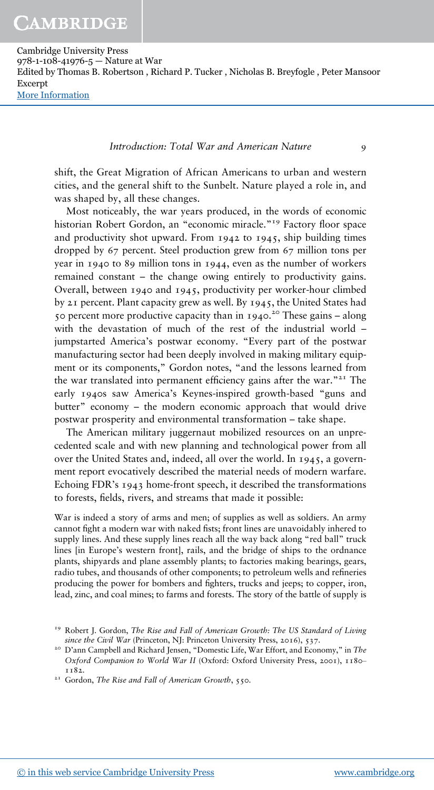#### *Introduction: Total War and American Nature* 9

shift, the Great Migration of African Americans to urban and western cities, and the general shift to the Sunbelt. Nature played a role in, and was shaped by, all these changes.

Most noticeably, the war years produced, in the words of economic historian Robert Gordon, an "economic miracle."<sup>19</sup> Factory floor space and productivity shot upward. From 1942 to 1945, ship building times dropped by 67 percent. Steel production grew from 67 million tons per year in 1940 to 89 million tons in 1944, even as the number of workers remained constant – the change owing entirely to productivity gains. Overall, between 1940 and 1945, productivity per worker-hour climbed by 21 percent. Plant capacity grew as well. By 1945, the United States had 50 percent more productive capacity than in 1940. <sup>20</sup> These gains – along with the devastation of much of the rest of the industrial world – jumpstarted America's postwar economy. "Every part of the postwar manufacturing sector had been deeply involved in making military equipment or its components," Gordon notes, "and the lessons learned from the war translated into permanent efficiency gains after the war."<sup>21</sup> The early 1940s saw America's Keynes-inspired growth-based "guns and butter" economy – the modern economic approach that would drive postwar prosperity and environmental transformation – take shape.

The American military juggernaut mobilized resources on an unprecedented scale and with new planning and technological power from all over the United States and, indeed, all over the world. In 1945, a government report evocatively described the material needs of modern warfare. Echoing FDR's 1943 home-front speech, it described the transformations to forests, fields, rivers, and streams that made it possible:

War is indeed a story of arms and men; of supplies as well as soldiers. An army cannot fight a modern war with naked fists; front lines are unavoidably inhered to supply lines. And these supply lines reach all the way back along "red ball" truck lines [in Europe's western front], rails, and the bridge of ships to the ordnance plants, shipyards and plane assembly plants; to factories making bearings, gears, radio tubes, and thousands of other components; to petroleum wells and refineries producing the power for bombers and fighters, trucks and jeeps; to copper, iron, lead, zinc, and coal mines; to farms and forests. The story of the battle of supply is

<sup>&</sup>lt;sup>19</sup> Robert J. Gordon, The Rise and Fall of American Growth: The US Standard of Living *since the Civil War* (Princeton, NJ: Princeton University Press, 2016), 537.

<sup>&</sup>lt;sup>20</sup> D'ann Campbell and Richard Jensen, "Domestic Life, War Effort, and Economy," in *The Oxford Companion to World War II* (Oxford: Oxford University Press, 2001), 1180‒ 1182.

<sup>21</sup> Gordon, *The Rise and Fall of American Growth*, 550.